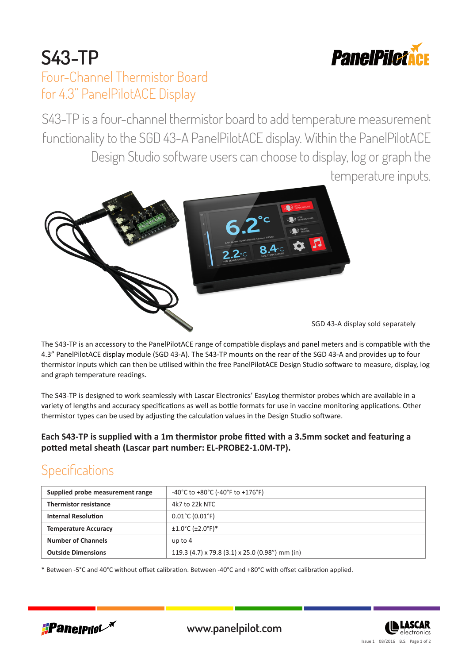

## **S43-TP** Four-Channel Thermistor Board for 4.3" PanelPilotACE Display

S43-TP is a four-channel thermistor board to add temperature measurement functionality to the SGD 43-A PanelPilotACE display. Within the PanelPilotACE Design Studio software users can choose to display, log or graph the temperature inputs.



The S43-TP is an accessory to the PanelPilotACE range of compatible displays and panel meters and is compatible with the 4.3" PanelPilotACE display module (SGD 43-A). The S43-TP mounts on the rear of the SGD 43-A and provides up to four thermistor inputs which can then be utilised within the free PanelPilotACE Design Studio software to measure, display, log and graph temperature readings.

The S43-TP is designed to work seamlessly with Lascar Electronics' EasyLog thermistor probes which are available in a variety of lengths and accuracy specifications as well as bottle formats for use in vaccine monitoring applications. Other thermistor types can be used by adjusting the calculation values in the Design Studio software.

**Each S43-TP is supplied with a 1m thermistor probe fitted with a 3.5mm socket and featuring a potted metal sheath (Lascar part number: EL-PROBE2-1.0M-TP).**

# **Specifications**

| Supplied probe measurement range | -40°C to +80°C (-40°F to +176°F)                |  |
|----------------------------------|-------------------------------------------------|--|
| <b>Thermistor resistance</b>     | 4k7 to 22k NTC                                  |  |
| <b>Internal Resolution</b>       | $0.01^{\circ}$ C (0.01 $^{\circ}$ F)            |  |
| <b>Temperature Accuracy</b>      | $±1.0°C$ ( $±2.0°F$ )*                          |  |
| <b>Number of Channels</b>        | up to $4$                                       |  |
| <b>Outside Dimensions</b>        | 119.3 (4.7) x 79.8 (3.1) x 25.0 (0.98") mm (in) |  |

\* Between -5°C and 40°C without offset calibration. Between -40°C and +80°C with offset calibration applied.